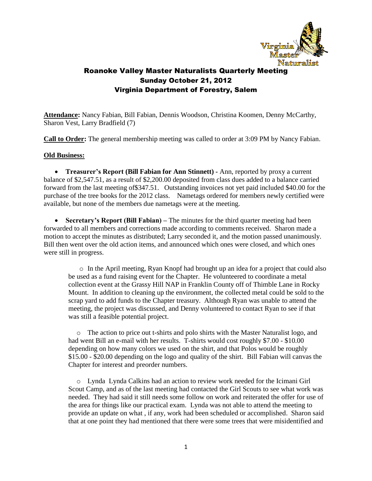

**Attendance:** Nancy Fabian, Bill Fabian, Dennis Woodson, Christina Koomen, Denny McCarthy, Sharon Vest, Larry Bradfield (7)

**Call to Order:** The general membership meeting was called to order at 3:09 PM by Nancy Fabian.

#### **Old Business:**

 **Treasurer's Report (Bill Fabian for Ann Stinnett) -** Ann, reported by proxy a current balance of \$2,547.51, as a result of \$2,200.00 deposited from class dues added to a balance carried forward from the last meeting of\$347.51. Outstanding invoices not yet paid included \$40.00 for the purchase of the tree books for the 2012 class. Nametags ordered for members newly certified were available, but none of the members due nametags were at the meeting.

• **Secretary's Report (Bill Fabian)** – The minutes for the third quarter meeting had been forwarded to all members and corrections made according to comments received. Sharon made a motion to accept the minutes as distributed; Larry seconded it, and the motion passed unanimously. Bill then went over the old action items, and announced which ones were closed, and which ones were still in progress.

o In the April meeting, Ryan Knopf had brought up an idea for a project that could also be used as a fund raising event for the Chapter. He volunteered to coordinate a metal collection event at the Grassy Hill NAP in Franklin County off of Thimble Lane in Rocky Mount. In addition to cleaning up the environment, the collected metal could be sold to the scrap yard to add funds to the Chapter treasury. Although Ryan was unable to attend the meeting, the project was discussed, and Denny volunteered to contact Ryan to see if that was still a feasible potential project.

o The action to price out t-shirts and polo shirts with the Master Naturalist logo, and had went Bill an e-mail with her results. T-shirts would cost roughly \$7.00 - \$10.00 depending on how many colors we used on the shirt, and that Polos would be roughly \$15.00 - \$20.00 depending on the logo and quality of the shirt. Bill Fabian will canvas the Chapter for interest and preorder numbers.

o Lynda Lynda Calkins had an action to review work needed for the Icimani Girl Scout Camp, and as of the last meeting had contacted the Girl Scouts to see what work was needed. They had said it still needs some follow on work and reiterated the offer for use of the area for things like our practical exam. Lynda was not able to attend the meeting to provide an update on what , if any, work had been scheduled or accomplished. Sharon said that at one point they had mentioned that there were some trees that were misidentified and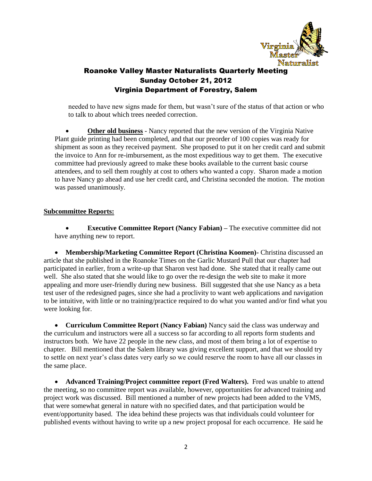

needed to have new signs made for them, but wasn't sure of the status of that action or who to talk to about which trees needed correction.

 **Other old business** - Nancy reported that the new version of the Virginia Native Plant guide printing had been completed, and that our preorder of 100 copies was ready for shipment as soon as they received payment. She proposed to put it on her credit card and submit the invoice to Ann for re-imbursement, as the most expeditious way to get them. The executive committee had previously agreed to make these books available to the current basic course attendees, and to sell them roughly at cost to others who wanted a copy. Sharon made a motion to have Nancy go ahead and use her credit card, and Christina seconded the motion. The motion was passed unanimously.

#### **Subcommittee Reports:**

 **Executive Committee Report (Nancy Fabian) –** The executive committee did not have anything new to report.

 **Membership/Marketing Committee Report (Christina Koomen)-** Christina discussed an article that she published in the Roanoke Times on the Garlic Mustard Pull that our chapter had participated in earlier, from a write-up that Sharon vest had done. She stated that it really came out well. She also stated that she would like to go over the re-design the web site to make it more appealing and more user-friendly during new business. Bill suggested that she use Nancy as a beta test user of the redesigned pages, since she had a proclivity to want web applications and navigation to be intuitive, with little or no training/practice required to do what you wanted and/or find what you were looking for.

 **Curriculum Committee Report (Nancy Fabian)** Nancy said the class was underway and the curriculum and instructors were all a success so far according to all reports form students and instructors both. We have 22 people in the new class, and most of them bring a lot of expertise to chapter. Bill mentioned that the Salem library was giving excellent support, and that we should try to settle on next year's class dates very early so we could reserve the room to have all our classes in the same place.

**• Advanced Training/Project committee report (Fred Walters).** Fred was unable to attend the meeting, so no committee report was available, however, opportunities for advanced training and project work was discussed. Bill mentioned a number of new projects had been added to the VMS, that were somewhat general in nature with no specified dates, and that participation would be event/opportunity based. The idea behind these projects was that individuals could volunteer for published events without having to write up a new project proposal for each occurrence. He said he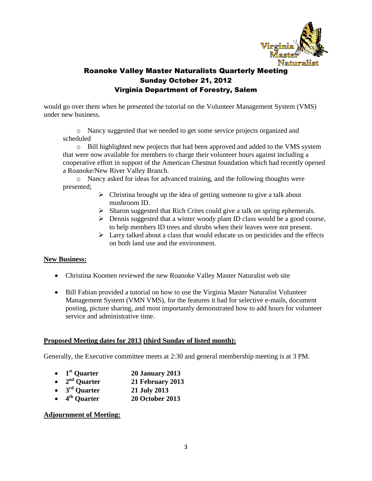

would go over them when he presented the tutorial on the Volunteer Management System (VMS) under new business.

o Nancy suggested that we needed to get some service projects organized and scheduled

o Bill highlighted new projects that had been approved and added to the VMS system that were now available for members to charge their volunteer hours against including a cooperative effort in support of the American Chestnut foundation which had recently opened a Roanoke/New River Valley Branch.

o Nancy asked for ideas for advanced training, and the following thoughts were presented;

- $\triangleright$  Christina brought up the idea of getting someone to give a talk about mushroom ID.
- $\triangleright$  Sharon suggested that Rich Crites could give a talk on spring ephemerals.
- $\triangleright$  Dennis suggested that a winter woody plant ID class would be a good course, to help members ID trees and shrubs when their leaves were not present.
- $\triangleright$  Larry talked about a class that would educate us on pesticides and the effects on both land use and the environment.

### **New Business:**

- Christina Koomen reviewed the new Roanoke Valley Master Naturalist web site
- Bill Fabian provided a tutorial on how to use the Virginia Master Naturalist Volunteer Management System (VMN VMS), for the features it had for selective e-mails, document posting, picture sharing, and most importantly demonstrated how to add hours for volunteer service and administrative time.

#### **Proposed Meeting dates for 2013 (third Sunday of listed month):**

Generally, the Executive committee meets at 2:30 and general membership meeting is at 3 PM.

- 1<sup>st</sup> Ouarter **st Quarter 20 January 2013**
- 2<sup>nd</sup> Ouarter **nd Quarter 21 February 2013**
- **3 rd Quarter 21 July 2013**
- **4 th Quarter 20 October 2013**

#### **Adjournment of Meeting:**